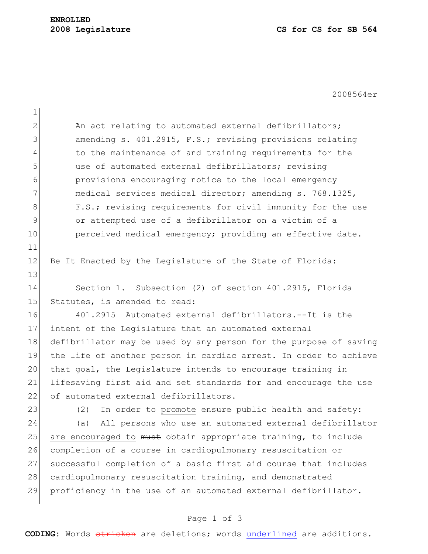## **ENROLLED**

2008564er

| $\mathbf 1$   |                                                                   |
|---------------|-------------------------------------------------------------------|
| $\mathbf{2}$  | An act relating to automated external defibrillators;             |
| 3             | amending s. 401.2915, F.S.; revising provisions relating          |
| 4             | to the maintenance of and training requirements for the           |
| 5             | use of automated external defibrillators; revising                |
| 6             | provisions encouraging notice to the local emergency              |
| 7             | medical services medical director; amending s. 768.1325,          |
| 8             | F.S.; revising requirements for civil immunity for the use        |
| $\mathcal{G}$ | or attempted use of a defibrillator on a victim of a              |
| 10            | perceived medical emergency; providing an effective date.         |
| 11            |                                                                   |
| 12            | Be It Enacted by the Legislature of the State of Florida:         |
| 13            |                                                                   |
| 14            | Section 1. Subsection (2) of section 401.2915, Florida            |
| 15            | Statutes, is amended to read:                                     |
| 16            | 401.2915 Automated external defibrillators.--It is the            |
| 17            | intent of the Legislature that an automated external              |
| 18            | defibrillator may be used by any person for the purpose of saving |
| 19            | the life of another person in cardiac arrest. In order to achieve |
| 20            | that goal, the Legislature intends to encourage training in       |
| 21            | lifesaving first aid and set standards for and encourage the use  |
| 22            | of automated external defibrillators.                             |
| 23            | In order to promote ensure public health and safety:<br>(2)       |
| 24            | (a)<br>All persons who use an automated external defibrillator    |
| 25            | are encouraged to must obtain appropriate training, to include    |
| 26            | completion of a course in cardiopulmonary resuscitation or        |
| 27            | successful completion of a basic first aid course that includes   |
| 28            | cardiopulmonary resuscitation training, and demonstrated          |
| 29            | proficiency in the use of an automated external defibrillator.    |
|               |                                                                   |

## Page 1 of 3

**CODING:** Words stricken are deletions; words underlined are additions.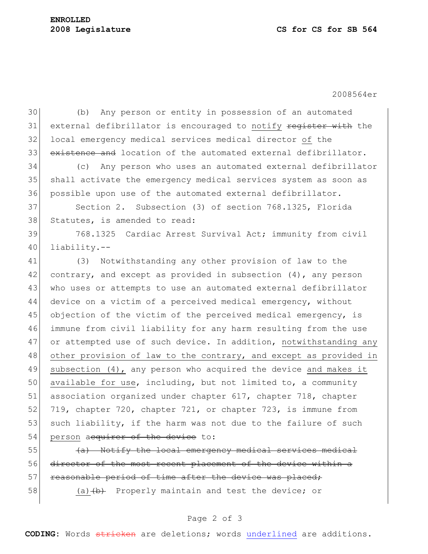2008564er

30 (b) Any person or entity in possession of an automated 31 external defibrillator is encouraged to notify register with the 32 local emergency medical services medical director of the 33 existence and location of the automated external defibrillator. 34 (c) Any person who uses an automated external defibrillator 35 shall activate the emergency medical services system as soon as 36 possible upon use of the automated external defibrillator. 37 Section 2. Subsection (3) of section 768.1325, Florida 38 Statutes, is amended to read: 39 768.1325 Cardiac Arrest Survival Act; immunity from civil 40 liability.-- 41 (3) Notwithstanding any other provision of law to the 42 contrary, and except as provided in subsection  $(4)$ , any person 43 who uses or attempts to use an automated external defibrillator 44 device on a victim of a perceived medical emergency, without 45 objection of the victim of the perceived medical emergency, is 46 immune from civil liability for any harm resulting from the use 47 or attempted use of such device. In addition, notwithstanding any 48 other provision of law to the contrary, and except as provided in 49 subsection (4), any person who acquired the device and makes it 50 available for use, including, but not limited to, a community 51 association organized under chapter 617, chapter 718, chapter 52 719, chapter 720, chapter 721, or chapter 723, is immune from 53 such liability, if the harm was not due to the failure of such 54 person acquirer of the device to:

 $\left\{\left(\frac{a}{b}\right)\right\}$  Notify the local emergency medical services medical 56 director of the most recent placement of the device within a 57 reasonable period of time after the device was placed;

58 (a)  $\leftrightarrow$  Properly maintain and test the device; or

## Page 2 of 3

**CODING:** Words stricken are deletions; words underlined are additions.